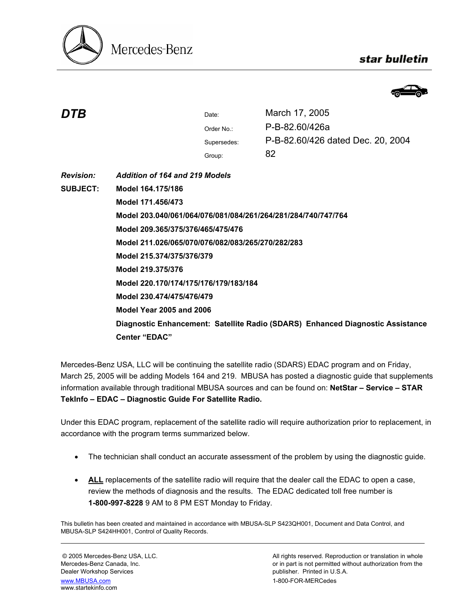

## star bulletin



| <b>DTB</b>       |                                                                                | Date:       | March 17, 2005                    |
|------------------|--------------------------------------------------------------------------------|-------------|-----------------------------------|
|                  |                                                                                | Order No.:  | P-B-82.60/426a                    |
|                  |                                                                                | Supersedes: | P-B-82.60/426 dated Dec. 20, 2004 |
|                  |                                                                                | Group:      | 82                                |
| <b>Revision:</b> | <b>Addition of 164 and 219 Models</b>                                          |             |                                   |
| <b>SUBJECT:</b>  | Model 164.175/186                                                              |             |                                   |
|                  | Model 171.456/473                                                              |             |                                   |
|                  | Model 203.040/061/064/076/081/084/261/264/281/284/740/747/764                  |             |                                   |
|                  | Model 209.365/375/376/465/475/476                                              |             |                                   |
|                  | Model 211.026/065/070/076/082/083/265/270/282/283                              |             |                                   |
|                  | Model 215.374/375/376/379                                                      |             |                                   |
|                  | Model 219.375/376                                                              |             |                                   |
|                  | Model 220.170/174/175/176/179/183/184                                          |             |                                   |
|                  | Model 230.474/475/476/479                                                      |             |                                   |
|                  | <b>Model Year 2005 and 2006</b>                                                |             |                                   |
|                  | Diagnostic Enhancement: Satellite Radio (SDARS) Enhanced Diagnostic Assistance |             |                                   |
|                  | <b>Center "EDAC"</b>                                                           |             |                                   |

Mercedes-Benz USA, LLC will be continuing the satellite radio (SDARS) EDAC program and on Friday, March 25, 2005 will be adding Models 164 and 219. MBUSA has posted a diagnostic guide that supplements information available through traditional MBUSA sources and can be found on: **NetStar – Service – STAR TekInfo – EDAC – Diagnostic Guide For Satellite Radio.** 

Under this EDAC program, replacement of the satellite radio will require authorization prior to replacement, in accordance with the program terms summarized below.

- The technician shall conduct an accurate assessment of the problem by using the diagnostic guide.
- ALL replacements of the satellite radio will require that the dealer call the EDAC to open a case, review the methods of diagnosis and the results. The EDAC dedicated toll free number is  **1-800-997-8228** 9 AM to 8 PM EST Monday to Friday.

This bulletin has been created and maintained in accordance with MBUSA-SLP S423QH001, Document and Data Control, and MBUSA-SLP S424HH001, Control of Quality Records.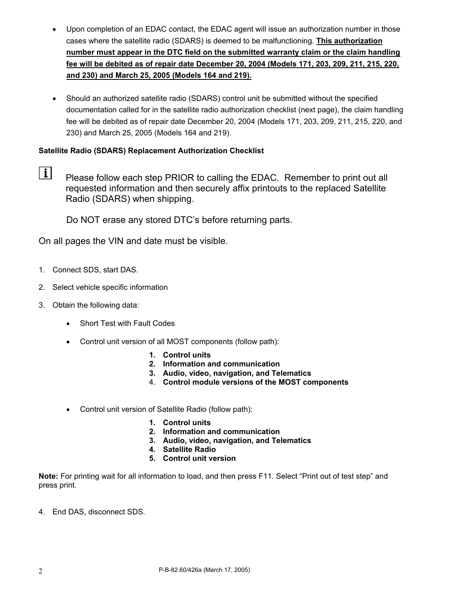- Upon completion of an EDAC contact, the EDAC agent will issue an authorization number in those cases where the satellite radio (SDARS) is deemed to be malfunctioning. **This authorization number must appear in the DTC field on the submitted warranty claim or the claim handling fee will be debited as of repair date December 20, 2004 (Models 171, 203, 209, 211, 215, 220, and 230) and March 25, 2005 (Models 164 and 219).**
- Should an authorized satellite radio (SDARS) control unit be submitted without the specified documentation called for in the satellite radio authorization checklist (next page), the claim handling fee will be debited as of repair date December 20, 2004 (Models 171, 203, 209, 211, 215, 220, and 230) and March 25, 2005 (Models 164 and 219).

## **Satellite Radio (SDARS) Replacement Authorization Checklist**

 $\vert i \vert$ Please follow each step PRIOR to calling the EDAC. Remember to print out all requested information and then securely affix printouts to the replaced Satellite Radio (SDARS) when shipping.

Do NOT erase any stored DTC's before returning parts.

On all pages the VIN and date must be visible.

- 1. Connect SDS, start DAS.
- 2. Select vehicle specific information
- 3. Obtain the following data:
	- Short Test with Fault Codes
	- Control unit version of all MOST components (follow path):
		- **1. Control units**
		- **2. Information and communication**
		- **3. Audio, video, navigation, and Telematics**
		- 4. **Control module versions of the MOST components**
	- Control unit version of Satellite Radio (follow path):
		- **1. Control units**
		- **2. Information and communication**
		- **3. Audio, video, navigation, and Telematics**
		- **4. Satellite Radio**
		- **5. Control unit version**

**Note:** For printing wait for all information to load, and then press F11. Select "Print out of test step" and press print.

4. End DAS, disconnect SDS.